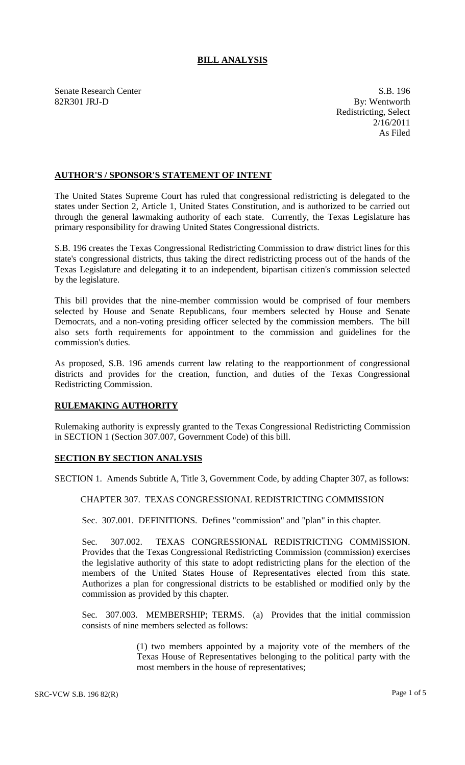## **BILL ANALYSIS**

Senate Research Center S.B. 196 82R301 JRJ-D By: Wentworth

Redistricting, Select 2/16/2011 As Filed

## **AUTHOR'S / SPONSOR'S STATEMENT OF INTENT**

The United States Supreme Court has ruled that congressional redistricting is delegated to the states under Section 2, Article 1, United States Constitution, and is authorized to be carried out through the general lawmaking authority of each state. Currently, the Texas Legislature has primary responsibility for drawing United States Congressional districts.

S.B. 196 creates the Texas Congressional Redistricting Commission to draw district lines for this state's congressional districts, thus taking the direct redistricting process out of the hands of the Texas Legislature and delegating it to an independent, bipartisan citizen's commission selected by the legislature.

This bill provides that the nine-member commission would be comprised of four members selected by House and Senate Republicans, four members selected by House and Senate Democrats, and a non-voting presiding officer selected by the commission members. The bill also sets forth requirements for appointment to the commission and guidelines for the commission's duties.

As proposed, S.B. 196 amends current law relating to the reapportionment of congressional districts and provides for the creation, function, and duties of the Texas Congressional Redistricting Commission.

## **RULEMAKING AUTHORITY**

Rulemaking authority is expressly granted to the Texas Congressional Redistricting Commission in SECTION 1 (Section 307.007, Government Code) of this bill.

## **SECTION BY SECTION ANALYSIS**

SECTION 1. Amends Subtitle A, Title 3, Government Code, by adding Chapter 307, as follows:

CHAPTER 307. TEXAS CONGRESSIONAL REDISTRICTING COMMISSION

Sec. 307.001. DEFINITIONS. Defines "commission" and "plan" in this chapter.

Sec. 307.002. TEXAS CONGRESSIONAL REDISTRICTING COMMISSION. Provides that the Texas Congressional Redistricting Commission (commission) exercises the legislative authority of this state to adopt redistricting plans for the election of the members of the United States House of Representatives elected from this state. Authorizes a plan for congressional districts to be established or modified only by the commission as provided by this chapter.

Sec. 307.003. MEMBERSHIP; TERMS. (a) Provides that the initial commission consists of nine members selected as follows:

> (1) two members appointed by a majority vote of the members of the Texas House of Representatives belonging to the political party with the most members in the house of representatives;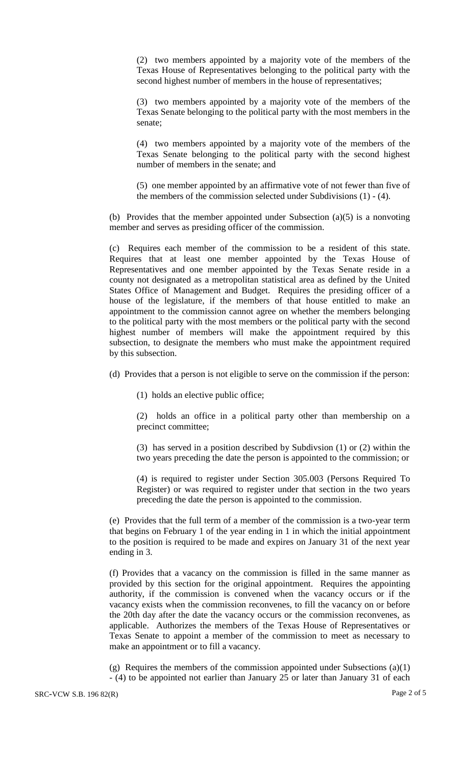(2) two members appointed by a majority vote of the members of the Texas House of Representatives belonging to the political party with the second highest number of members in the house of representatives;

(3) two members appointed by a majority vote of the members of the Texas Senate belonging to the political party with the most members in the senate;

(4) two members appointed by a majority vote of the members of the Texas Senate belonging to the political party with the second highest number of members in the senate; and

(5) one member appointed by an affirmative vote of not fewer than five of the members of the commission selected under Subdivisions (1) - (4).

(b) Provides that the member appointed under Subsection (a)(5) is a nonvoting member and serves as presiding officer of the commission.

(c) Requires each member of the commission to be a resident of this state. Requires that at least one member appointed by the Texas House of Representatives and one member appointed by the Texas Senate reside in a county not designated as a metropolitan statistical area as defined by the United States Office of Management and Budget. Requires the presiding officer of a house of the legislature, if the members of that house entitled to make an appointment to the commission cannot agree on whether the members belonging to the political party with the most members or the political party with the second highest number of members will make the appointment required by this subsection, to designate the members who must make the appointment required by this subsection.

(d) Provides that a person is not eligible to serve on the commission if the person:

(1) holds an elective public office;

(2) holds an office in a political party other than membership on a precinct committee;

(3) has served in a position described by Subdivsion (1) or (2) within the two years preceding the date the person is appointed to the commission; or

(4) is required to register under Section 305.003 (Persons Required To Register) or was required to register under that section in the two years preceding the date the person is appointed to the commission.

(e) Provides that the full term of a member of the commission is a two-year term that begins on February 1 of the year ending in 1 in which the initial appointment to the position is required to be made and expires on January 31 of the next year ending in 3.

(f) Provides that a vacancy on the commission is filled in the same manner as provided by this section for the original appointment. Requires the appointing authority, if the commission is convened when the vacancy occurs or if the vacancy exists when the commission reconvenes, to fill the vacancy on or before the 20th day after the date the vacancy occurs or the commission reconvenes, as applicable. Authorizes the members of the Texas House of Representatives or Texas Senate to appoint a member of the commission to meet as necessary to make an appointment or to fill a vacancy.

(g) Requires the members of the commission appointed under Subsections  $(a)(1)$ - (4) to be appointed not earlier than January 25 or later than January 31 of each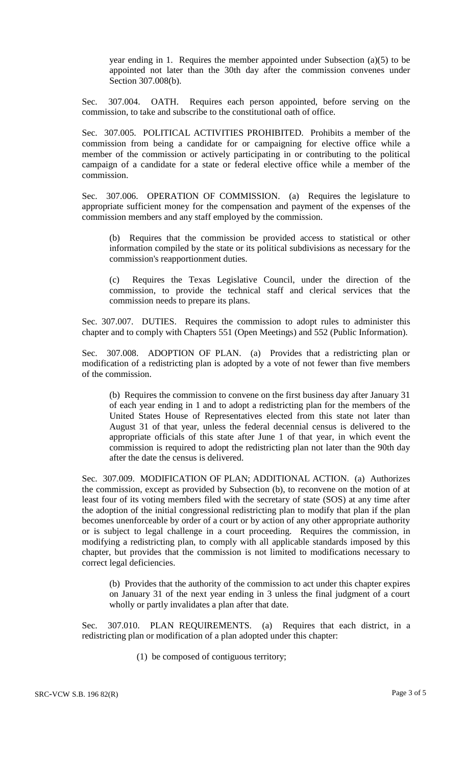year ending in 1. Requires the member appointed under Subsection (a)(5) to be appointed not later than the 30th day after the commission convenes under Section 307.008(b).

Sec. 307.004. OATH. Requires each person appointed, before serving on the commission, to take and subscribe to the constitutional oath of office.

Sec. 307.005. POLITICAL ACTIVITIES PROHIBITED. Prohibits a member of the commission from being a candidate for or campaigning for elective office while a member of the commission or actively participating in or contributing to the political campaign of a candidate for a state or federal elective office while a member of the commission.

Sec. 307.006. OPERATION OF COMMISSION. (a) Requires the legislature to appropriate sufficient money for the compensation and payment of the expenses of the commission members and any staff employed by the commission.

(b) Requires that the commission be provided access to statistical or other information compiled by the state or its political subdivisions as necessary for the commission's reapportionment duties.

Requires the Texas Legislative Council, under the direction of the commission, to provide the technical staff and clerical services that the commission needs to prepare its plans.

Sec. 307.007. DUTIES. Requires the commission to adopt rules to administer this chapter and to comply with Chapters 551 (Open Meetings) and 552 (Public Information).

Sec. 307.008. ADOPTION OF PLAN. (a) Provides that a redistricting plan or modification of a redistricting plan is adopted by a vote of not fewer than five members of the commission.

(b) Requires the commission to convene on the first business day after January 31 of each year ending in 1 and to adopt a redistricting plan for the members of the United States House of Representatives elected from this state not later than August 31 of that year, unless the federal decennial census is delivered to the appropriate officials of this state after June 1 of that year, in which event the commission is required to adopt the redistricting plan not later than the 90th day after the date the census is delivered.

Sec. 307.009. MODIFICATION OF PLAN; ADDITIONAL ACTION. (a) Authorizes the commission, except as provided by Subsection (b), to reconvene on the motion of at least four of its voting members filed with the secretary of state (SOS) at any time after the adoption of the initial congressional redistricting plan to modify that plan if the plan becomes unenforceable by order of a court or by action of any other appropriate authority or is subject to legal challenge in a court proceeding. Requires the commission, in modifying a redistricting plan, to comply with all applicable standards imposed by this chapter, but provides that the commission is not limited to modifications necessary to correct legal deficiencies.

(b) Provides that the authority of the commission to act under this chapter expires on January 31 of the next year ending in 3 unless the final judgment of a court wholly or partly invalidates a plan after that date.

Sec. 307.010. PLAN REQUIREMENTS. (a) Requires that each district, in a redistricting plan or modification of a plan adopted under this chapter:

(1) be composed of contiguous territory;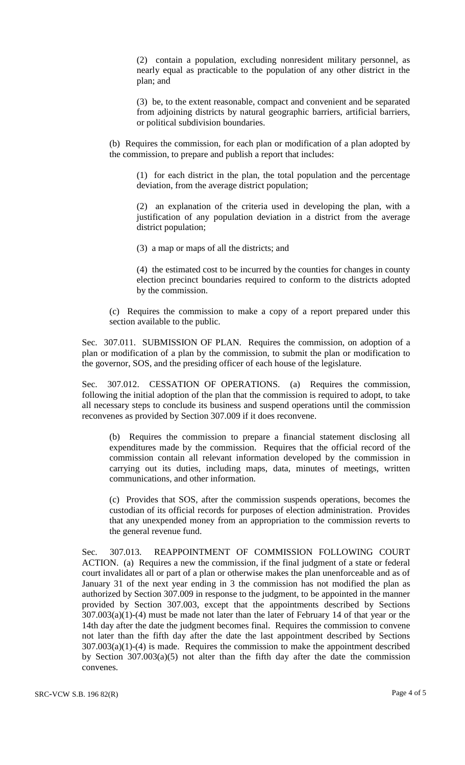(2) contain a population, excluding nonresident military personnel, as nearly equal as practicable to the population of any other district in the plan; and

(3) be, to the extent reasonable, compact and convenient and be separated from adjoining districts by natural geographic barriers, artificial barriers, or political subdivision boundaries.

(b) Requires the commission, for each plan or modification of a plan adopted by the commission, to prepare and publish a report that includes:

(1) for each district in the plan, the total population and the percentage deviation, from the average district population;

(2) an explanation of the criteria used in developing the plan, with a justification of any population deviation in a district from the average district population;

(3) a map or maps of all the districts; and

(4) the estimated cost to be incurred by the counties for changes in county election precinct boundaries required to conform to the districts adopted by the commission.

(c) Requires the commission to make a copy of a report prepared under this section available to the public.

Sec. 307.011. SUBMISSION OF PLAN. Requires the commission, on adoption of a plan or modification of a plan by the commission, to submit the plan or modification to the governor, SOS, and the presiding officer of each house of the legislature.

Sec. 307.012. CESSATION OF OPERATIONS. (a) Requires the commission, following the initial adoption of the plan that the commission is required to adopt, to take all necessary steps to conclude its business and suspend operations until the commission reconvenes as provided by Section 307.009 if it does reconvene.

(b) Requires the commission to prepare a financial statement disclosing all expenditures made by the commission. Requires that the official record of the commission contain all relevant information developed by the commission in carrying out its duties, including maps, data, minutes of meetings, written communications, and other information.

(c) Provides that SOS, after the commission suspends operations, becomes the custodian of its official records for purposes of election administration. Provides that any unexpended money from an appropriation to the commission reverts to the general revenue fund.

Sec. 307.013. REAPPOINTMENT OF COMMISSION FOLLOWING COURT ACTION. (a) Requires a new the commission, if the final judgment of a state or federal court invalidates all or part of a plan or otherwise makes the plan unenforceable and as of January 31 of the next year ending in 3 the commission has not modified the plan as authorized by Section 307.009 in response to the judgment, to be appointed in the manner provided by Section 307.003, except that the appointments described by Sections  $307.003(a)(1)-(4)$  must be made not later than the later of February 14 of that year or the 14th day after the date the judgment becomes final. Requires the commission to convene not later than the fifth day after the date the last appointment described by Sections  $307.003(a)(1)-(4)$  is made. Requires the commission to make the appointment described by Section 307.003(a)(5) not alter than the fifth day after the date the commission convenes.